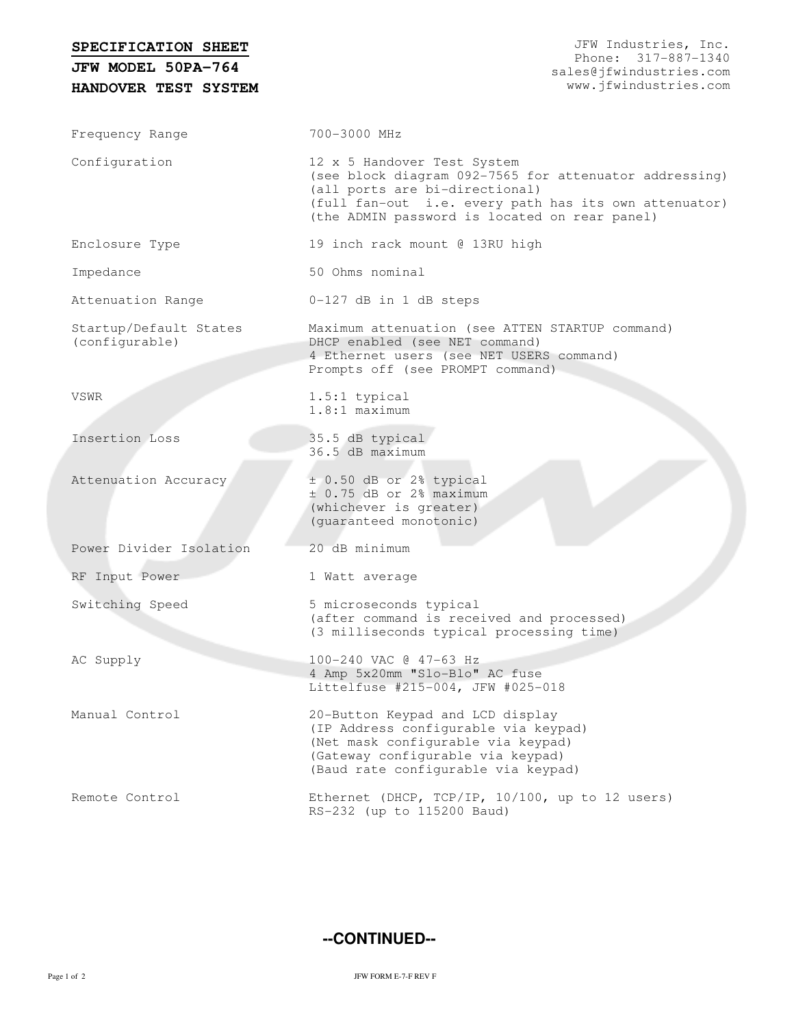| SPECIFICATION SHEET                      | JFW Industries, Inc.                                                                                                                                                                                                              |
|------------------------------------------|-----------------------------------------------------------------------------------------------------------------------------------------------------------------------------------------------------------------------------------|
| JFW MODEL 50PA-764                       | Phone: 317-887-1340<br>sales@jfwindustries.com                                                                                                                                                                                    |
| HANDOVER TEST SYSTEM                     | www.jfwindustries.com                                                                                                                                                                                                             |
|                                          |                                                                                                                                                                                                                                   |
| Frequency Range                          | 700-3000 MHz                                                                                                                                                                                                                      |
| Configuration                            | 12 x 5 Handover Test System<br>(see block diagram 092-7565 for attenuator addressing)<br>(all ports are bi-directional)<br>(full fan-out i.e. every path has its own attenuator)<br>(the ADMIN password is located on rear panel) |
| Enclosure Type                           | 19 inch rack mount @ 13RU high                                                                                                                                                                                                    |
| Impedance                                | 50 Ohms nominal                                                                                                                                                                                                                   |
| Attenuation Range                        | 0-127 dB in 1 dB steps                                                                                                                                                                                                            |
| Startup/Default States<br>(configurable) | Maximum attenuation (see ATTEN STARTUP command)<br>DHCP enabled (see NET command)<br>4 Ethernet users (see NET USERS command)<br>Prompts off (see PROMPT command)                                                                 |
| VSWR                                     | $1.5:1$ typical<br>$1.8:1$ maximum                                                                                                                                                                                                |
| Insertion Loss                           | 35.5 dB typical<br>36.5 dB maximum                                                                                                                                                                                                |
| Attenuation Accuracy                     | ± 0.50 dB or 2% typical<br>$\pm$ 0.75 dB or 2% maximum<br>(whichever is greater)<br>(guaranteed monotonic)                                                                                                                        |
| Power Divider Isolation                  | 20 dB minimum                                                                                                                                                                                                                     |
| RF Input Power                           | 1 Watt average                                                                                                                                                                                                                    |
| Switching Speed                          | 5 microseconds typical<br>(after command is received and processed)<br>(3 milliseconds typical processing time)                                                                                                                   |
| AC Supply                                | 100-240 VAC @ 47-63 Hz<br>4 Amp 5x20mm "Slo-Blo" AC fuse<br>Littelfuse #215-004, JFW #025-018                                                                                                                                     |
| Manual Control                           | 20-Button Keypad and LCD display<br>(IP Address configurable via keypad)<br>(Net mask configurable via keypad)<br>(Gateway configurable via keypad)<br>(Baud rate configurable via keypad)                                        |
| Remote Control                           | Ethernet (DHCP, TCP/IP, 10/100, up to 12 users)<br>RS-232 (up to 115200 Baud)                                                                                                                                                     |

**--CONTINUED--**